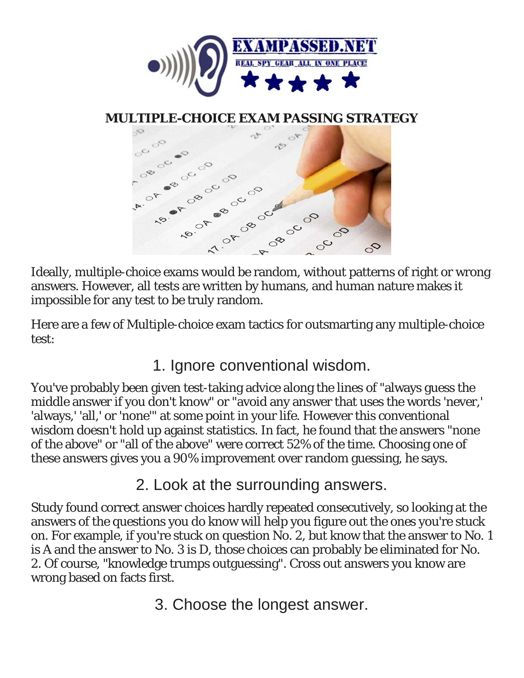

## **MU[LTIPLE-CHOICE EXAM PASSING STRATE](http://static5.businessinsider.com/image/558d79e06bb3f70414daa4a2-960/taking-a-test.jpg)GY**



Ideally, multiple-choice exams would be random, without patterns of right or wrong answers. However, all tests are written by humans, and human nature makes it impossible for any test to be truly random.

Here are a few of Multiple-choice exam tactics for outsmarting any multiple-choice test:

1. Ignore conventional wisdom.

You've probably been given test-taking advice along the lines of "always guess the middle answer if you don't know" or "avoid any answer that uses the words 'never,' 'always,' 'all,' or 'none'" at some point in your life. However this conventional wisdom doesn't hold up against statistics. In fact, he found that the answers "none of the above" or "all of the above" were correct 52% of the time. Choosing one of these answers gives you a 90% improvement over random guessing, he says.

2. Look at the surrounding answers.

Study found correct answer choices hardly repeated consecutively, so looking at the answers of the questions you *do* know will help you figure out the ones you're stuck on. For example, if you're stuck on question No. 2, but know that the answer to No. 1 is A and the answer to No. 3 is D, those choices can probably be eliminated for No. 2. Of course, "knowledge trumps outguessing". Cross out answers you know are wrong based on facts first.

3. Choose the longest answer.